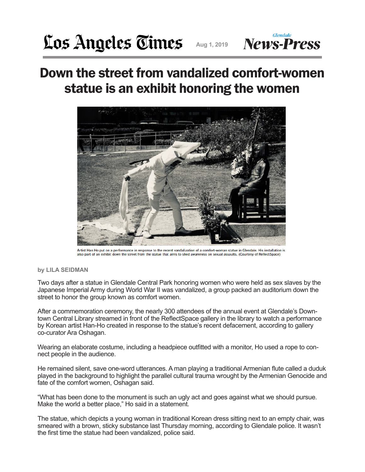**Glendale** 

## Down the street from vandalized comfort-women statue is an exhibit honoring the women



Artist Han Ho put on a performance in response to the recent vandalization of a comfort-woman statue in Glendale. His installation is also part of an exhibit down the street from the statue that aims to shed awareness on sexual assaults. (Courtesy of ReflectSpace)

## **by LILA SEIDMAN**

Two days after a statue in Glendale Central Park honoring women who were held as sex slaves by the Japanese Imperial Army during World War II was vandalized, a group packed an auditorium down the street to honor the group known as comfort women.

After a commemoration ceremony, the nearly 300 attendees of the annual event at Glendale's Downtown Central Library streamed in front of the ReflectSpace gallery in the library to watch a performance by Korean artist Han-Ho created in response to the statue's recent defacement, according to gallery co-curator Ara Oshagan.

Wearing an elaborate costume, including a headpiece outfitted with a monitor, Ho used a rope to connect people in the audience.

He remained silent, save one-word utterances. A man playing a traditional Armenian flute called a duduk played in the background to highlight the parallel cultural trauma wrought by the Armenian Genocide and fate of the comfort women, Oshagan said.

"What has been done to the monument is such an ugly act and goes against what we should pursue. Make the world a better place," Ho said in a statement.

The statue, which depicts a young woman in traditional Korean dress sitting next to an empty chair, was smeared with a brown, sticky substance last Thursday morning, according to Glendale police. It wasn't the first time the statue had been vandalized, police said.